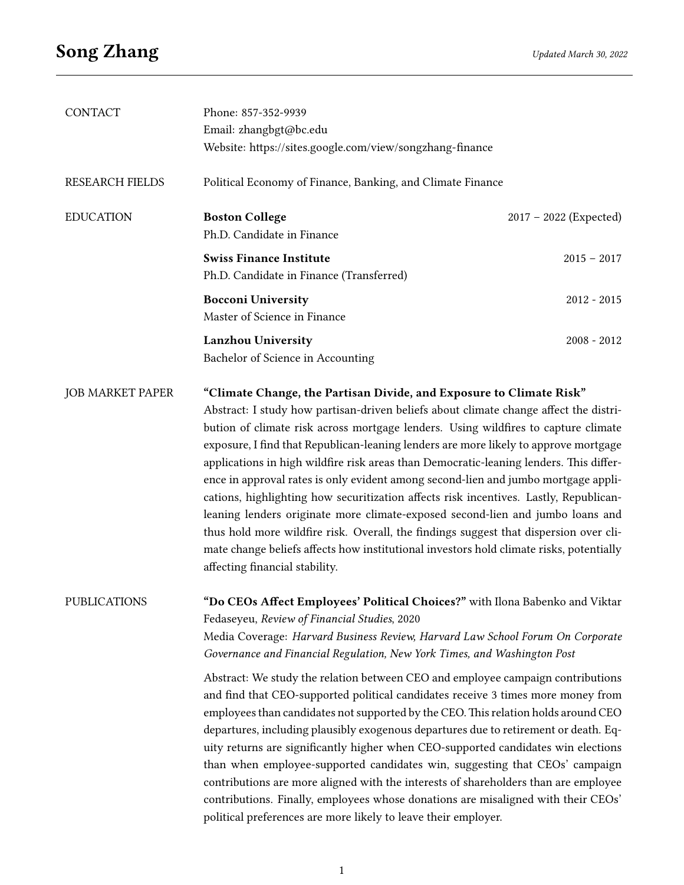| <b>CONTACT</b>          | Phone: 857-352-9939                                                                    |                          |  |
|-------------------------|----------------------------------------------------------------------------------------|--------------------------|--|
|                         | Email: zhangbgt@bc.edu                                                                 |                          |  |
|                         | Website: https://sites.google.com/view/songzhang-finance                               |                          |  |
| <b>RESEARCH FIELDS</b>  | Political Economy of Finance, Banking, and Climate Finance                             |                          |  |
| <b>EDUCATION</b>        | <b>Boston College</b>                                                                  | $2017 - 2022$ (Expected) |  |
|                         | Ph.D. Candidate in Finance                                                             |                          |  |
|                         | <b>Swiss Finance Institute</b>                                                         | $2015 - 2017$            |  |
|                         | Ph.D. Candidate in Finance (Transferred)                                               |                          |  |
|                         | <b>Bocconi University</b>                                                              | $2012 - 2015$            |  |
|                         | Master of Science in Finance                                                           |                          |  |
|                         | <b>Lanzhou University</b>                                                              | $2008 - 2012$            |  |
|                         | Bachelor of Science in Accounting                                                      |                          |  |
| <b>JOB MARKET PAPER</b> | "Climate Change, the Partisan Divide, and Exposure to Climate Risk"                    |                          |  |
|                         | Abstract: I study how partisan-driven beliefs about climate change affect the distri-  |                          |  |
|                         | bution of climate risk across mortgage lenders. Using wildfires to capture climate     |                          |  |
|                         | exposure, I find that Republican-leaning lenders are more likely to approve mortgage   |                          |  |
|                         | applications in high wildfire risk areas than Democratic-leaning lenders. This differ- |                          |  |
|                         | ence in approval rates is only evident among second-lien and jumbo mortgage appli-     |                          |  |
|                         | cations, highlighting how securitization affects risk incentives. Lastly, Republican-  |                          |  |

leaning lenders originate more climate-exposed second-lien and jumbo loans and thus hold more wildfire risk. Overall, the findings suggest that dispersion over climate change beliefs affects how institutional investors hold climate risks, potentially affecting financial stability.

PUBLICATIONS "Do CEOs Affect Employees' Political Choices?" with Ilona Babenko and Viktar Fedaseyeu, Review of Financial Studies, 2020 Media Coverage: Harvard Business Review, Harvard Law School Forum On Corporate Governance and Financial Regulation, New York Times, and Washington Post

> Abstract: We study the relation between CEO and employee campaign contributions and find that CEO-supported political candidates receive 3 times more money from employees than candidates not supported by the CEO. This relation holds around CEO departures, including plausibly exogenous departures due to retirement or death. Equity returns are signicantly higher when CEO-supported candidates win elections than when employee-supported candidates win, suggesting that CEOs' campaign contributions are more aligned with the interests of shareholders than are employee contributions. Finally, employees whose donations are misaligned with their CEOs' political preferences are more likely to leave their employer.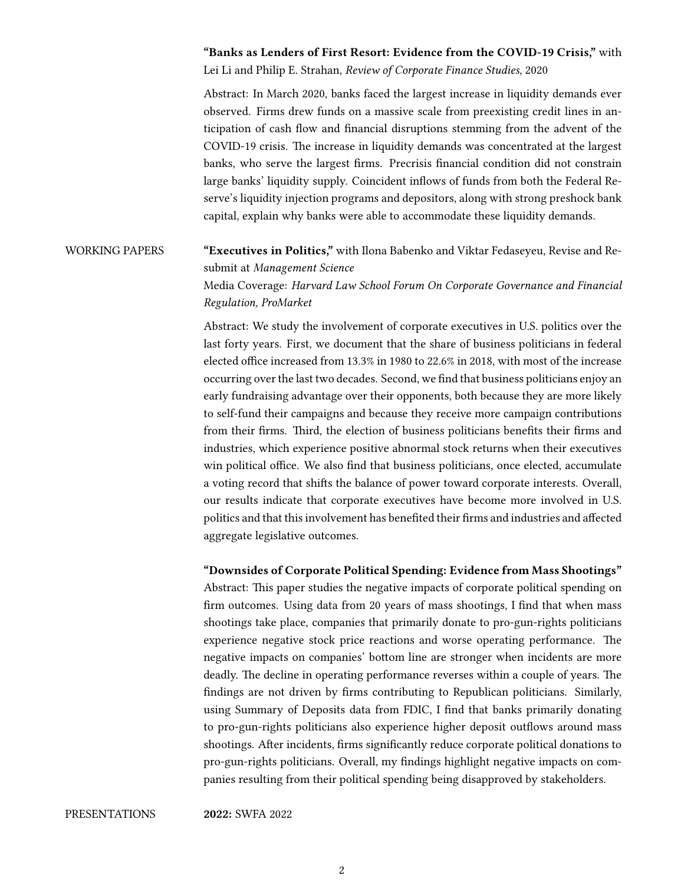## "Banks as Lenders of First Resort: Evidence from the COVID-19 Crisis," with Lei Li and Philip E. Strahan, Review of Corporate Finance Studies, 2020

Abstract: In March 2020, banks faced the largest increase in liquidity demands ever observed. Firms drew funds on a massive scale from preexisting credit lines in anticipation of cash flow and financial disruptions stemming from the advent of the COVID-19 crisis. The increase in liquidity demands was concentrated at the largest banks, who serve the largest firms. Precrisis financial condition did not constrain large banks' liquidity supply. Coincident inflows of funds from both the Federal Reserve's liquidity injection programs and depositors, along with strong preshock bank capital, explain why banks were able to accommodate these liquidity demands.

## WORKING PAPERS "Executives in Politics," with Ilona Babenko and Viktar Fedaseyeu, Revise and Resubmit at Management Science

Media Coverage: Harvard Law School Forum On Corporate Governance and Financial Regulation, ProMarket

Abstract: We study the involvement of corporate executives in U.S. politics over the last forty years. First, we document that the share of business politicians in federal elected office increased from 13.3% in 1980 to 22.6% in 2018, with most of the increase occurring over the last two decades. Second, we find that business politicians enjoy an early fundraising advantage over their opponents, both because they are more likely to self-fund their campaigns and because they receive more campaign contributions from their firms. Third, the election of business politicians benefits their firms and industries, which experience positive abnormal stock returns when their executives win political office. We also find that business politicians, once elected, accumulate a voting record that shifts the balance of power toward corporate interests. Overall, our results indicate that corporate executives have become more involved in U.S. politics and that this involvement has benefited their firms and industries and affected aggregate legislative outcomes.

## "Downsides of Corporate Political Spending: Evidence from Mass Shootings"

Abstract: This paper studies the negative impacts of corporate political spending on firm outcomes. Using data from 20 years of mass shootings, I find that when mass shootings take place, companies that primarily donate to pro-gun-rights politicians experience negative stock price reactions and worse operating performance. The negative impacts on companies' bottom line are stronger when incidents are more deadly. The decline in operating performance reverses within a couple of years. The findings are not driven by firms contributing to Republican politicians. Similarly, using Summary of Deposits data from FDIC, I find that banks primarily donating to pro-gun-rights politicians also experience higher deposit outflows around mass shootings. After incidents, firms significantly reduce corporate political donations to pro-gun-rights politicians. Overall, my findings highlight negative impacts on companies resulting from their political spending being disapproved by stakeholders.

PRESENTATIONS 2022: SWFA 2022